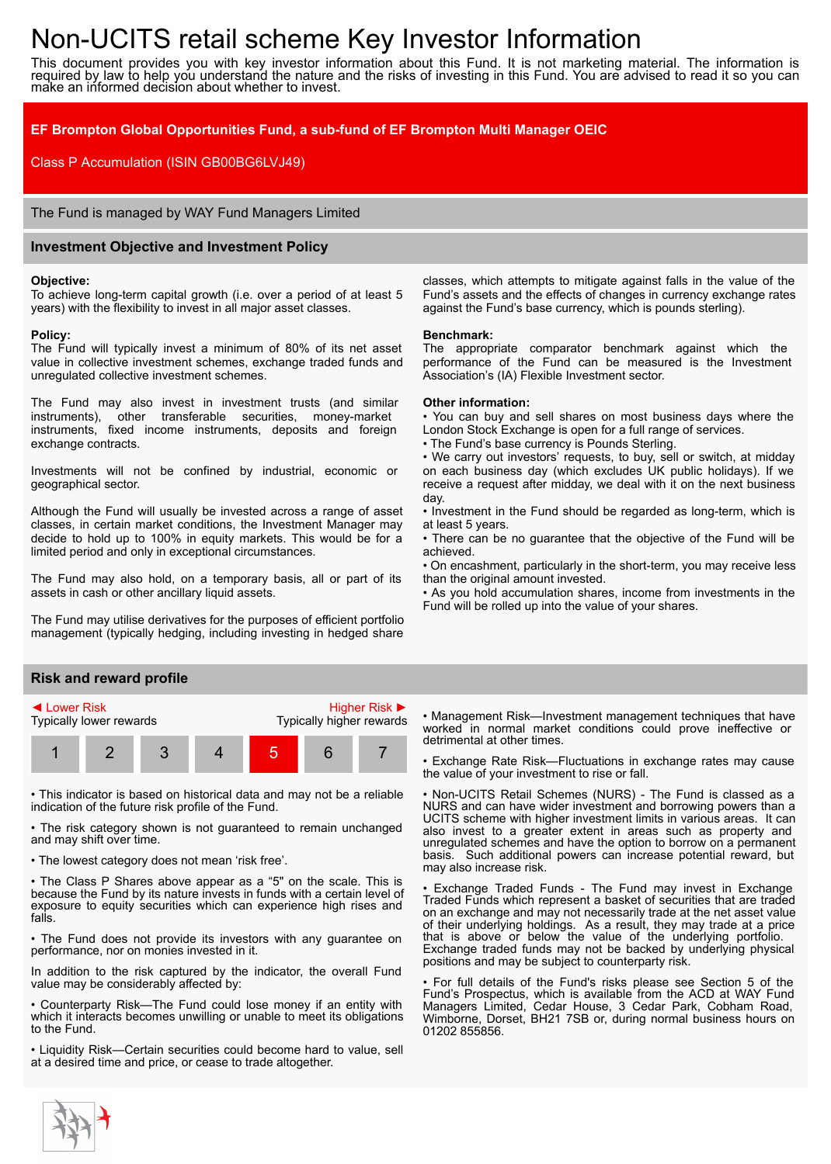# Non-UCITS retail scheme Key Investor Information

This document provides you with key investor information about this Fund. It is not marketing material. The information is required by law to help you understand the nature and the risks of investing in this Fund. You are advised to read it so you can make an informed decision about whether to invest.

## **EF Brompton Global Opportunities Fund, a sub-fund of EF Brompton Multi Manager OEIC**

Class P Accumulation (ISIN GB00BG6LVJ49)

The Fund is managed by WAY Fund Managers Limited

## **Investment Objective and Investment Policy**

#### **Objective:**

To achieve long-term capital growth (i.e. over a period of at least 5 years) with the flexibility to invest in all major asset classes.

#### **Policy:**

The Fund will typically invest a minimum of 80% of its net asset value in collective investment schemes, exchange traded funds and unregulated collective investment schemes.

The Fund may also invest in investment trusts (and similar instruments), other transferable securities, money-market instruments, fixed income instruments, deposits and foreign exchange contracts.

Investments will not be confined by industrial, economic or geographical sector.

Although the Fund will usually be invested across a range of asset classes, in certain market conditions, the Investment Manager may decide to hold up to 100% in equity markets. This would be for a limited period and only in exceptional circumstances.

The Fund may also hold, on a temporary basis, all or part of its assets in cash or other ancillary liquid assets.

The Fund may utilise derivatives for the purposes of efficient portfolio management (typically hedging, including investing in hedged share

## **Risk and reward profile**



• This indicator is based on historical data and may not be a reliable indication of the future risk profile of the Fund.

• The risk category shown is not guaranteed to remain unchanged and may shift over time.

• The lowest category does not mean 'risk free'.

• The Class P Shares above appear as a "5" on the scale. This is because the Fund by its nature invests in funds with a certain level of exposure to equity securities which can experience high rises and falls.

• The Fund does not provide its investors with any guarantee on performance, nor on monies invested in it.

In addition to the risk captured by the indicator, the overall Fund value may be considerably affected by:

• Counterparty Risk—The Fund could lose money if an entity with which it interacts becomes unwilling or unable to meet its obligations to the Fund.

• Liquidity Risk—Certain securities could become hard to value, sell at a desired time and price, or cease to trade altogether.

classes, which attempts to mitigate against falls in the value of the Fund's assets and the effects of changes in currency exchange rates against the Fund's base currency, which is pounds sterling).

#### **Benchmark:**

The appropriate comparator benchmark against which the performance of the Fund can be measured is the Investment Association's (IA) Flexible Investment sector.

#### **Other information:**

• You can buy and sell shares on most business days where the London Stock Exchange is open for a full range of services.

• The Fund's base currency is Pounds Sterling.

• We carry out investors' requests, to buy, sell or switch, at midday on each business day (which excludes UK public holidays). If we receive a request after midday, we deal with it on the next business day.

• Investment in the Fund should be regarded as long-term, which is at least 5 years.

• There can be no guarantee that the objective of the Fund will be achieved.

• On encashment, particularly in the short-term, you may receive less than the original amount invested.

• As you hold accumulation shares, income from investments in the Fund will be rolled up into the value of your shares.

• Management Risk—Investment management techniques that have worked in normal market conditions could prove ineffective or detrimental at other times.

• Exchange Rate Risk—Fluctuations in exchange rates may cause the value of your investment to rise or fall.

• Non-UCITS Retail Schemes (NURS) - The Fund is classed as a NURS and can have wider investment and borrowing powers than a UCITS scheme with higher investment limits in various areas. It can also invest to a greater extent in areas such as property and unregulated schemes and have the option to borrow on a permanent basis. Such additional powers can increase potential reward, but may also increase risk.

• Exchange Traded Funds - The Fund may invest in Exchange Traded Funds which represent a basket of securities that are traded on an exchange and may not necessarily trade at the net asset value of their underlying holdings. As a result, they may trade at a price that is above or below the value of the underlying portfolio. Exchange traded funds may not be backed by underlying physical positions and may be subject to counterparty risk.

• For full details of the Fund's risks please see Section 5 of the Fund's Prospectus, which is available from the ACD at WAY Fund Managers Limited, Cedar House, 3 Cedar Park, Cobham Road, Wimborne, Dorset, BH21 7SB or, during normal business hours on 01202 855856.